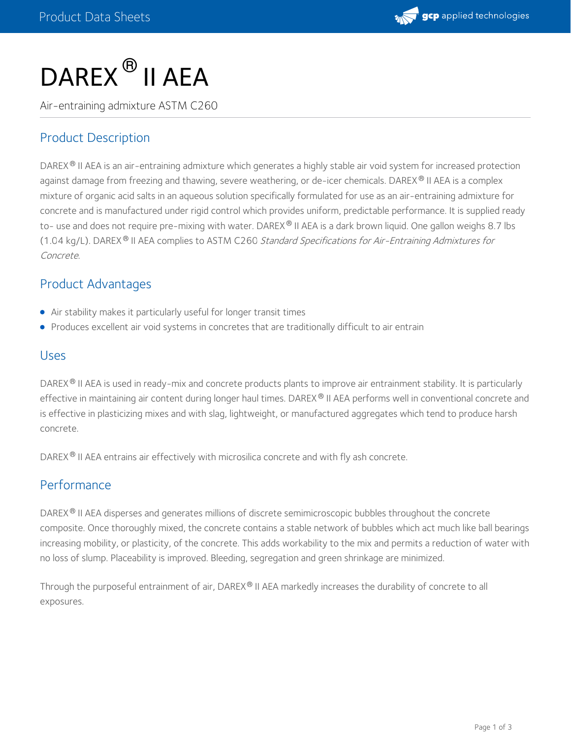

# DAREX  $^\circledR$  II AEA

Air-entraining admixture ASTM C260

# Product Description

DAREX® II AEA is an air-entraining admixture which generates a highly stable air void system for increased protection against damage from freezing and thawing, severe weathering, or de-icer chemicals. DAREX® II AEA is a complex mixture of organic acid salts in an aqueous solution specifically formulated for use as an air-entraining admixture for concrete and is manufactured under rigid control which provides uniform, predictable performance. It is supplied ready to- use and does not require pre-mixing with water. DAREX® II AEA is a dark brown liquid. One gallon weighs 8.7 lbs (1.04 kg/L). DAREX<sup>®</sup> II AEA complies to ASTM C260 *Standard Specifications for Air-Entraining Admixtures for* Concrete.

### Product Advantages

- Air stability makes it particularly useful for longer transit times
- Produces excellent air void systems in concretes that are traditionally difficult to air entrain

#### Uses

DAREX® II AEA is used in ready-mix and concrete products plants to improve air entrainment stability. It is particularly effective in maintaining air content during longer haul times. DAREX® II AEA performs well in conventional concrete and is effective in plasticizing mixes and with slag, lightweight, or manufactured aggregates which tend to produce harsh concrete.

DAREX® II AEA entrains air effectively with microsilica concrete and with fly ash concrete.

#### Performance

DAREX® II AEA disperses and generates millions of discrete semimicroscopic bubbles throughout the concrete composite. Once thoroughly mixed, the concrete contains a stable network of bubbles which act much like ball bearings increasing mobility, or plasticity, of the concrete. This adds workability to the mix and permits a reduction of water with no loss of slump. Placeability is improved. Bleeding, segregation and green shrinkage are minimized.

Through the purposeful entrainment of air, DAREX® II AEA markedly increases the durability of concrete to all exposures.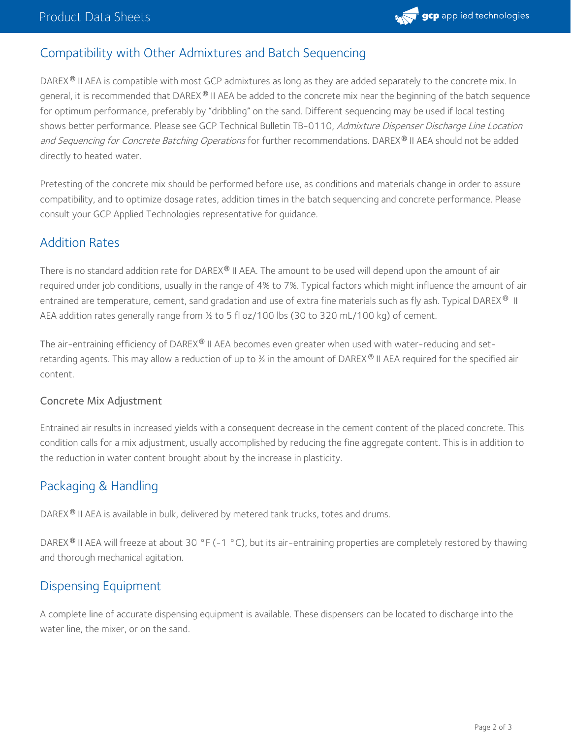

# Compatibility with Other Admixtures and Batch Sequencing

DAREX® II AEA is compatible with most GCP admixtures as long as they are added separately to the concrete mix. In general, it is recommended that DAREX ® II AEA be added to the concrete mix near the beginning of the batch sequence for optimum performance, preferably by "dribbling" on the sand. Different sequencing may be used if local testing shows better performance. Please see GCP Technical Bulletin TB-0110, Admixture Dispenser Discharge Line Location an*d Sequencing for Concrete Batching Operations* for further recommendations. DAREX® II AEA should not be added directly to heated water.

Pretesting of the concrete mix should be performed before use, as conditions and materials change in order to assure compatibility, and to optimize dosage rates, addition times in the batch sequencing and concrete performance. Please consult your GCP Applied Technologies representative for guidance.

### Addition Rates

There is no standard addition rate for DAREX® II AEA. The amount to be used will depend upon the amount of air required under job conditions, usually in the range of 4% to 7%. Typical factors which might influence the amount of air entrained are temperature, cement, sand gradation and use of extra fine materials such as fly ash. Typical DAREX  $^{\circledR}$  II AEA addition rates generally range from ½ to 5 fl oz/100 lbs (30 to 320 mL/100 kg) of cement.

The air-entraining efficiency of DAREX $^\circ$  II AEA becomes even greater when used with water-reducing and setretarding agents. This may allow a reduction of up to ⅔ in the amount of DAREX® II AEA required for the specified air content.

#### Concrete Mix Adjustment

Entrained air results in increased yields with a consequent decrease in the cement content of the placed concrete. This condition calls for a mix adjustment, usually accomplished by reducing the fine aggregate content. This is in addition to the reduction in water content brought about by the increase in plasticity.

# Packaging & Handling

DAREX® II AEA is available in bulk, delivered by metered tank trucks, totes and drums.

DAREX® II AEA will freeze at about 30 °F (-1 °C), but its air-entraining properties are completely restored by thawing and thorough mechanical agitation.

#### Dispensing Equipment

A complete line of accurate dispensing equipment is available. These dispensers can be located to discharge into the water line, the mixer, or on the sand.